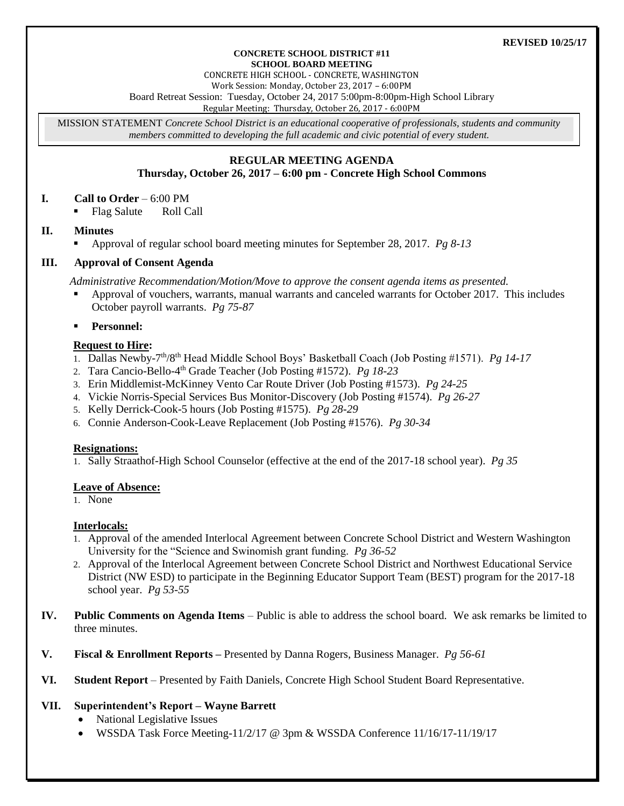#### **REVISED 10/25/17**

#### **CONCRETE SCHOOL DISTRICT #11 SCHOOL BOARD MEETING**

CONCRETE HIGH SCHOOL - CONCRETE, WASHINGTON

Work Session: Monday, October 23, 2017 – 6:00PM

Board Retreat Session: Tuesday, October 24, 2017 5:00pm-8:00pm-High School Library

Regular Meeting: Thursday, October 26, 2017 - 6:00PM

MISSION STATEMENT *Concrete School District is an educational cooperative of professionals, students and community members committed to developing the full academic and civic potential of every student.*

## **REGULAR MEETING AGENDA Thursday, October 26, 2017 – 6:00 pm - Concrete High School Commons**

## **I. Call to Order** – 6:00 PM

• Flag Salute Roll Call

# **II. Minutes**

Approval of regular school board meeting minutes for September 28, 2017. *Pg 8-13*

## **III. Approval of Consent Agenda**

*Administrative Recommendation/Motion/Move to approve the consent agenda items as presented.*

 Approval of vouchers, warrants, manual warrants and canceled warrants for October 2017. This includes October payroll warrants. *Pg 75-87*

## **Personnel:**

## **Request to Hire:**

- 1. Dallas Newby-7 th/8th Head Middle School Boys' Basketball Coach (Job Posting #1571). *Pg 14-17*
- 2. Tara Cancio-Bello-4 th Grade Teacher (Job Posting #1572). *Pg 18-23*
- 3. Erin Middlemist-McKinney Vento Car Route Driver (Job Posting #1573). *Pg 24-25*
- 4. Vickie Norris-Special Services Bus Monitor-Discovery (Job Posting #1574). *Pg 26-27*
- 5. Kelly Derrick-Cook-5 hours (Job Posting #1575). *Pg 28-29*
- 6. Connie Anderson-Cook-Leave Replacement (Job Posting #1576). *Pg 30-34*

### **Resignations:**

1. Sally Straathof-High School Counselor (effective at the end of the 2017-18 school year). *Pg 35*

### **Leave of Absence:**

1. None

### **Interlocals:**

- 1. Approval of the amended Interlocal Agreement between Concrete School District and Western Washington University for the "Science and Swinomish grant funding. *Pg 36-52*
- 2. Approval of the Interlocal Agreement between Concrete School District and Northwest Educational Service District (NW ESD) to participate in the Beginning Educator Support Team (BEST) program for the 2017-18 school year. *Pg 53-55*
- **IV. Public Comments on Agenda Items** Public is able to address the school board. We ask remarks be limited to three minutes.
- **V. Fiscal & Enrollment Reports –** Presented by Danna Rogers, Business Manager. *Pg 56-61*
- **VI. Student Report** Presented by Faith Daniels, Concrete High School Student Board Representative.

# **VII. Superintendent's Report – Wayne Barrett**

- National Legislative Issues
- WSSDA Task Force Meeting-11/2/17 @ 3pm & WSSDA Conference 11/16/17-11/19/17